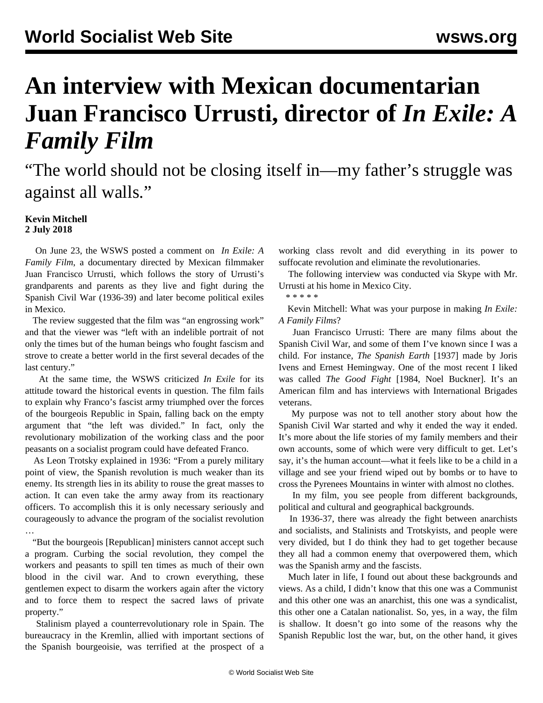## **An interview with Mexican documentarian Juan Francisco Urrusti, director of** *In Exile: A Family Film*

"The world should not be closing itself in—my father's struggle was against all walls."

## **Kevin Mitchell 2 July 2018**

 On June 23, the WSWS posted a comment on *[In Exile: A](/en/articles/2018/06/23/exil-j23.html) [Family Film](/en/articles/2018/06/23/exil-j23.html)*, a documentary directed by Mexican filmmaker Juan Francisco Urrusti, which follows the story of Urrusti's grandparents and parents as they live and fight during the Spanish Civil War (1936-39) and later become political exiles in Mexico.

 The review suggested that the film was "an engrossing work" and that the viewer was "left with an indelible portrait of not only the times but of the human beings who fought fascism and strove to create a better world in the first several decades of the last century."

 At the same time, the WSWS criticized *In Exile* for its attitude toward the historical events in question. The film fails to explain why Franco's fascist army triumphed over the forces of the bourgeois Republic in Spain, falling back on the empty argument that "the left was divided." In fact, only the revolutionary mobilization of the working class and the poor peasants on a socialist program could have defeated Franco.

 As Leon Trotsky explained in 1936: "From a purely military point of view, the Spanish revolution is much weaker than its enemy. Its strength lies in its ability to rouse the great masses to action. It can even take the army away from its reactionary officers. To accomplish this it is only necessary seriously and courageously to advance the program of the socialist revolution …

 "But the bourgeois [Republican] ministers cannot accept such a program. Curbing the social revolution, they compel the workers and peasants to spill ten times as much of their own blood in the civil war. And to crown everything, these gentlemen expect to disarm the workers again after the victory and to force them to respect the sacred laws of private property."

 Stalinism played a counterrevolutionary role in Spain. The bureaucracy in the Kremlin, allied with important sections of the Spanish bourgeoisie, was terrified at the prospect of a working class revolt and did everything in its power to suffocate revolution and eliminate the revolutionaries.

 The following interview was conducted via Skype with Mr. Urrusti at his home in Mexico City.

\* \* \* \* \*

 Kevin Mitchell: What was your purpose in making *In Exile: A Family Films*?

 Juan Francisco Urrusti: There are many films about the Spanish Civil War, and some of them I've known since I was a child. For instance, *The Spanish Earth* [1937] made by Joris Ivens and Ernest Hemingway. One of the most recent I liked was called *The Good Fight* [1984, Noel Buckner]. It's an American film and has interviews with International Brigades veterans.

 My purpose was not to tell another story about how the Spanish Civil War started and why it ended the way it ended. It's more about the life stories of my family members and their own accounts, some of which were very difficult to get. Let's say, it's the human account—what it feels like to be a child in a village and see your friend wiped out by bombs or to have to cross the Pyrenees Mountains in winter with almost no clothes.

 In my film, you see people from different backgrounds, political and cultural and geographical backgrounds.

 In 1936-37, there was already the fight between anarchists and socialists, and Stalinists and Trotskyists, and people were very divided, but I do think they had to get together because they all had a common enemy that overpowered them, which was the Spanish army and the fascists.

 Much later in life, I found out about these backgrounds and views. As a child, I didn't know that this one was a Communist and this other one was an anarchist, this one was a syndicalist, this other one a Catalan nationalist. So, yes, in a way, the film is shallow. It doesn't go into some of the reasons why the Spanish Republic lost the war, but, on the other hand, it gives